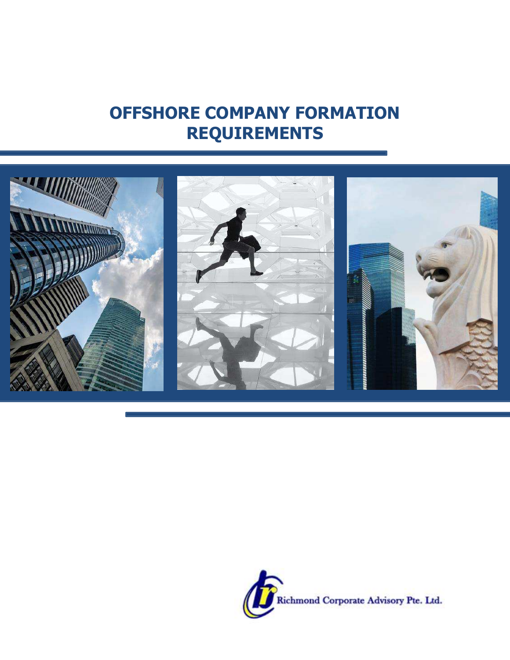## **OFFSHORE COMPANY FORMATION REQUIREMENTS**



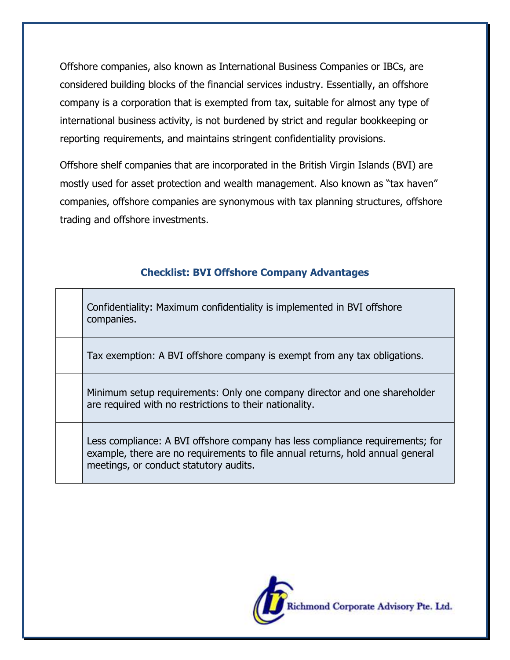Offshore companies, also known as International Business Companies or IBCs, are considered building blocks of the financial services industry. Essentially, an offshore company is a corporation that is exempted from tax, suitable for almost any type of international business activity, is not burdened by strict and regular bookkeeping or reporting requirements, and maintains stringent confidentiality provisions.

Offshore shelf companies that are incorporated in the British Virgin Islands (BVI) are mostly used for asset protection and wealth management. Also known as "tax haven" companies, offshore companies are synonymous with tax planning structures, offshore trading and offshore investments.

## **Checklist: BVI Offshore Company Advantages**

|  | Confidentiality: Maximum confidentiality is implemented in BVI offshore<br>companies. |
|--|---------------------------------------------------------------------------------------|
|--|---------------------------------------------------------------------------------------|

Tax exemption: A BVI offshore company is exempt from any tax obligations.

Minimum setup requirements: Only one company director and one shareholder are required with no restrictions to their nationality.

Less compliance: A BVI offshore company has less compliance requirements; for example, there are no requirements to file annual returns, hold annual general meetings, or conduct statutory audits.